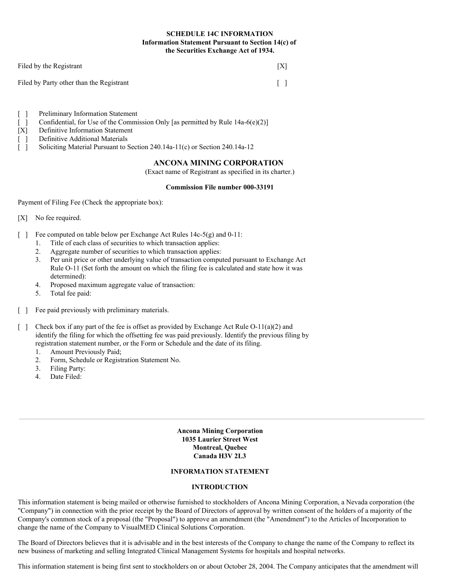# **SCHEDULE 14C INFORMATION Information Statement Pursuant to Section 14(c) of the Securities Exchange Act of 1934.**

| Filed by the Registrant                  | [X]             |
|------------------------------------------|-----------------|
| Filed by Party other than the Registrant | $\lceil \rceil$ |

- [ ] Preliminary Information Statement
- [ ] Confidential, for Use of the Commission Only [as permitted by Rule  $14a-6(e)(2)$ ]
- [X] Definitive Information Statement
- [ ] Definitive Additional Materials
- [ ] Soliciting Material Pursuant to Section 240.14a-11(c) or Section 240.14a-12

# **ANCONA MINING CORPORATION**

(Exact name of Registrant as specified in its charter.)

#### **Commission File number 000-33191**

Payment of Filing Fee (Check the appropriate box):

- [X] No fee required.
- [ ] Fee computed on table below per Exchange Act Rules 14c-5(g) and 0-11:
	- 1. Title of each class of securities to which transaction applies:
	- 2. Aggregate number of securities to which transaction applies:
	- 3. Per unit price or other underlying value of transaction computed pursuant to Exchange Act Rule O-11 (Set forth the amount on which the filing fee is calculated and state how it was determined):
	- 4. Proposed maximum aggregate value of transaction:
	- 5. Total fee paid:
- [ ] Fee paid previously with preliminary materials.
- [ ] Check box if any part of the fee is offset as provided by Exchange Act Rule  $O-11(a)(2)$  and identify the filing for which the offsetting fee was paid previously. Identify the previous filing by registration statement number, or the Form or Schedule and the date of its filing.
	- 1. Amount Previously Paid;
	- 2. Form, Schedule or Registration Statement No.
	- 3. Filing Party:
	- 4. Date Filed:

**Ancona Mining Corporation 1035 Laurier Street West Montreal, Quebec Canada H3V 2L3**

## **INFORMATION STATEMENT**

# **INTRODUCTION**

This information statement is being mailed or otherwise furnished to stockholders of Ancona Mining Corporation, a Nevada corporation (the "Company") in connection with the prior receipt by the Board of Directors of approval by written consent of the holders of a majority of the Company's common stock of a proposal (the "Proposal") to approve an amendment (the "Amendment") to the Articles of Incorporation to change the name of the Company to VisualMED Clinical Solutions Corporation.

The Board of Directors believes that it is advisable and in the best interests of the Company to change the name of the Company to reflect its new business of marketing and selling Integrated Clinical Management Systems for hospitals and hospital networks.

This information statement is being first sent to stockholders on or about October 28, 2004. The Company anticipates that the amendment will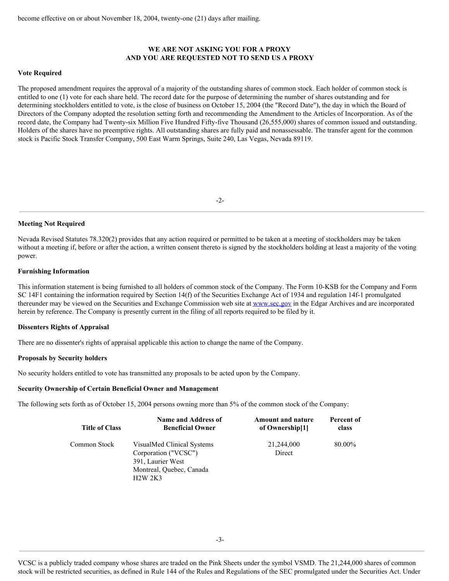## **WE ARE NOT ASKING YOU FOR A PROXY AND YOU ARE REQUESTED NOT TO SEND US A PROXY**

### **Vote Required**

The proposed amendment requires the approval of a majority of the outstanding shares of common stock. Each holder of common stock is entitled to one (1) vote for each share held. The record date for the purpose of determining the number of shares outstanding and for determining stockholders entitled to vote, is the close of business on October 15, 2004 (the "Record Date"), the day in which the Board of Directors of the Company adopted the resolution setting forth and recommending the Amendment to the Articles of Incorporation. As of the record date, the Company had Twenty-six Million Five Hundred Fifty-five Thousand (26,555,000) shares of common issued and outstanding. Holders of the shares have no preemptive rights. All outstanding shares are fully paid and nonassessable. The transfer agent for the common stock is Pacific Stock Transfer Company, 500 East Warm Springs, Suite 240, Las Vegas, Nevada 89119.

 $-2-$ 

#### **Meeting Not Required**

Nevada Revised Statutes 78.320(2) provides that any action required or permitted to be taken at a meeting of stockholders may be taken without a meeting if, before or after the action, a written consent thereto is signed by the stockholders holding at least a majority of the voting power.

#### **Furnishing Information**

This information statement is being furnished to all holders of common stock of the Company. The Form 10-KSB for the Company and Form SC 14F1 containing the information required by Section 14(f) of the Securities Exchange Act of 1934 and regulation 14f-1 promulgated thereunder may be viewed on the Securities and Exchange Commission web site at www.sec.gov in the Edgar Archives and are incorporated herein by reference. The Company is presently current in the filing of all reports required to be filed by it.

#### **Dissenters Rights of Appraisal**

There are no dissenter's rights of appraisal applicable this action to change the name of the Company.

#### **Proposals by Security holders**

No security holders entitled to vote has transmitted any proposals to be acted upon by the Company.

#### **Security Ownership of Certain Beneficial Owner and Management**

The following sets forth as of October 15, 2004 persons owning more than 5% of the common stock of the Company:

| <b>Title of Class</b> | Name and Address of                                                                                                   | <b>Amount and nature</b> | Percent of |
|-----------------------|-----------------------------------------------------------------------------------------------------------------------|--------------------------|------------|
|                       | <b>Beneficial Owner</b>                                                                                               | of Ownership[1]          | class      |
| Common Stock          | VisualMed Clinical Systems<br>Corporation ("VCSC")<br>391, Laurier West<br>Montreal, Ouebec, Canada<br><b>H2W 2K3</b> | 21,244,000<br>Direct     | 80.00%     |

VCSC is a publicly traded company whose shares are traded on the Pink Sheets under the symbol VSMD. The 21,244,000 shares of common stock will be restricted securities, as defined in Rule 144 of the Rules and Regulations of the SEC promulgated under the Securities Act. Under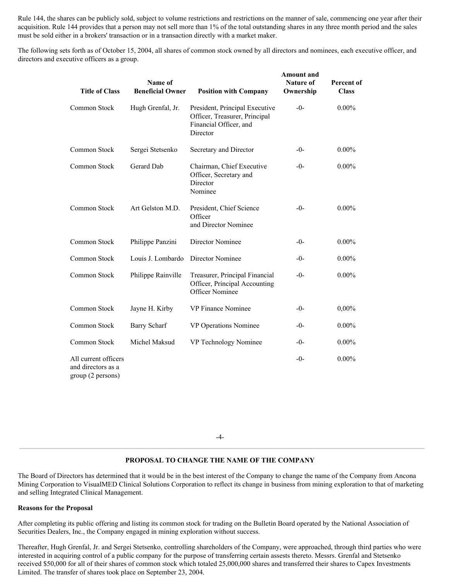Rule 144, the shares can be publicly sold, subject to volume restrictions and restrictions on the manner of sale, commencing one year after their acquisition. Rule 144 provides that a person may not sell more than 1% of the total outstanding shares in any three month period and the sales must be sold either in a brokers' transaction or in a transaction directly with a market maker.

The following sets forth as of October 15, 2004, all shares of common stock owned by all directors and nominees, each executive officer, and directors and executive officers as a group.

| <b>Title of Class</b>                                           | Name of<br><b>Beneficial Owner</b> | <b>Position with Company</b>                                                                          | <b>Amount</b> and<br><b>Nature of</b><br>Ownership | Percent of<br><b>Class</b> |
|-----------------------------------------------------------------|------------------------------------|-------------------------------------------------------------------------------------------------------|----------------------------------------------------|----------------------------|
| Common Stock                                                    | Hugh Grenfal, Jr.                  | President, Principal Executive<br>Officer, Treasurer, Principal<br>Financial Officer, and<br>Director | $-0-$                                              | $0.00\%$                   |
| Common Stock                                                    | Sergei Stetsenko                   | Secretary and Director                                                                                | $-0-$                                              | $0.00\%$                   |
| Common Stock                                                    | Gerard Dab                         | Chairman, Chief Executive<br>Officer, Secretary and<br>Director<br>Nominee                            | $-0-$                                              | $0.00\%$                   |
| Common Stock                                                    | Art Gelston M.D.                   | President, Chief Science<br>Officer<br>and Director Nominee                                           | $-0-$                                              | $0.00\%$                   |
| Common Stock                                                    | Philippe Panzini                   | Director Nominee                                                                                      | $-0-$                                              | $0.00\%$                   |
| Common Stock                                                    | Louis J. Lombardo                  | Director Nominee                                                                                      | $-()$ -                                            | $0.00\%$                   |
| Common Stock                                                    | Philippe Rainville                 | Treasurer, Principal Financial<br>Officer, Principal Accounting<br>Officer Nominee                    | $-0-$                                              | $0.00\%$                   |
| Common Stock                                                    | Jayne H. Kirby                     | VP Finance Nominee                                                                                    | $-0-$                                              | 0,00%                      |
| Common Stock                                                    | <b>Barry Scharf</b>                | VP Operations Nominee                                                                                 | $-()$ -                                            | $0.00\%$                   |
| Common Stock                                                    | Michel Maksud                      | VP Technology Nominee                                                                                 | $-0-$                                              | $0.00\%$                   |
| All current officers<br>and directors as a<br>group (2 persons) |                                    |                                                                                                       | $-0-$                                              | $0.00\%$                   |

-4-

# **PROPOSAL TO CHANGE THE NAME OF THE COMPANY**

The Board of Directors has determined that it would be in the best interest of the Company to change the name of the Company from Ancona Mining Corporation to VisualMED Clinical Solutions Corporation to reflect its change in business from mining exploration to that of marketing and selling Integrated Clinical Management.

### **Reasons for the Proposal**

After completing its public offering and listing its common stock for trading on the Bulletin Board operated by the National Association of Securities Dealers, Inc., the Company engaged in mining exploration without success.

Thereafter, Hugh Grenfal, Jr. and Sergei Stetsenko, controlling shareholders of the Company, were approached, through third parties who were interested in acquiring control of a public company for the purpose of transferring certain assests thereto. Messrs. Grenfal and Stetsenko received \$50,000 for all of their shares of common stock which totaled 25,000,000 shares and transferred their shares to Capex Investments Limited. The transfer of shares took place on September 23, 2004.